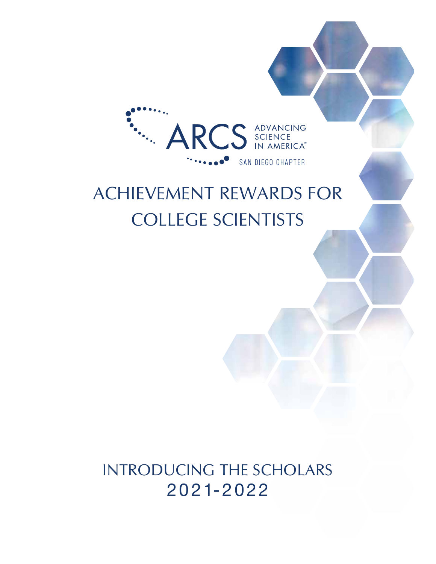

# Achievement RewARds FoR college scientists

intRodUcing the scholARs 2021-2022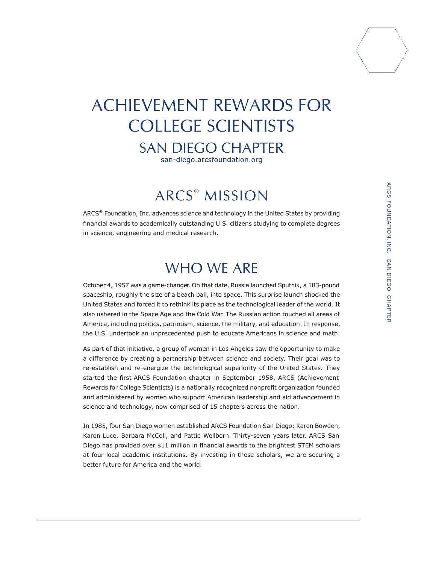

# Achievement REWARDS FoR college scientists sAn diego chAPteR

san-diego.arcsfoundation.org

# ARcs® mission

ARCS® Foundation, Inc. advances science and technology in the United States by providing fnancial awards to academically outstanding U.S. citizens studying to complete degrees in science, engineering and medical research.

#### WHO WF ARF

October 4, 1957 was a game-changer. On that date, Russia launched Sputnik, a 183-pound spaceship, roughly the size of a beach ball, into space. This surprise launch shocked the United States and forced it to rethink its place as the technological leader of the world. It also ushered in the Space Age and the Cold War. The Russian action touched all areas of America, including politics, patriotism, science, the military, and education. In response, the U.S. undertook an unprecedented push to educate Americans in science and math.

As part of that initiative, a group of women in Los Angeles saw the opportunity to make a difference by creating a partnership between science and society. Their goal was to re-establish and re-energize the technological superiority of the United States. They started the frst ARCS Foundation chapter in September 1958. ARCS (Achievement Rewards for College Scientists) is a nationally recognized nonproft organization founded and administered by women who support American leadership and aid advancement in science and technology, now comprised of 15 chapters across the nation.

In 1985, four San Diego women established ARCS Foundation San Diego: Karen Bowden, Karon Luce, Barbara McColl, and Pattie Wellborn. Thirty-seven years later, ARCS San Diego has provided over \$11 million in fnancial awards to the brightest STEM scholars at four local academic institutions. By investing in these scholars, we are securing a better future for America and the world.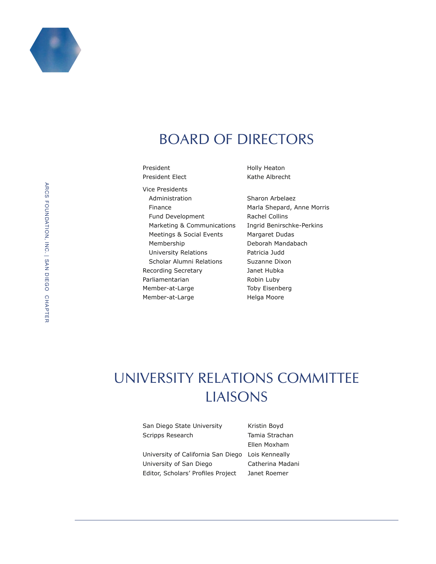

# BOARD OF DIRECTORS

President Holly Heaton President Elect Kathe Albrecht Vice Presidents Administration Sharon Arbelaez Fund Development Rachel Collins Marketing & Communications Ingrid Benirschke-Perkins Meetings & Social Events Margaret Dudas Membership Deborah Mandabach University Relations Patricia Judd Scholar Alumni Relations Suzanne Dixon Recording Secretary Janet Hubka Parliamentarian Robin Luby Member-at-Large Toby Eisenberg Member-at-Large Helga Moore

Finance **Marla Shepard, Anne Morris** 

# UNIVERSITY RELATIONS COMMITTEE LIAISONS

San Diego State University Kristin Boyd Scripps Research Tamia Strachan

University of California San Diego Lois Kenneally University of San Diego Catherina Madani Editor, Scholars' Profles Project Janet Roemer

Ellen Moxham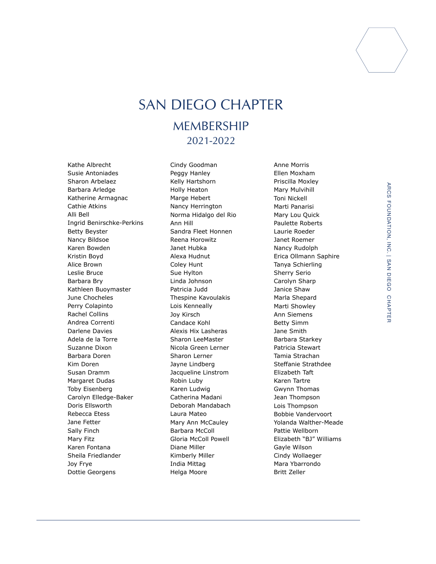

# sAn diego chAPteR **MEMBERSHIP** 2021-2022

Kathe Albrecht Susie Antoniades Sharon Arbelaez Barbara Arledge Katherine Armagnac Cathie Atkins Alli Bell Ingrid Benirschke-Perkins Betty Beyster Nancy Bildsoe Karen Bowden Kristin Boyd Alice Brown Leslie Bruce Barbara Bry Kathleen Buoymaster June Chocheles Perry Colapinto Rachel Collins Andrea Correnti Darlene Davies Adela de la Torre Suzanne Dixon Barbara Doren Kim Doren Susan Dramm Margaret Dudas Toby Eisenberg Carolyn Elledge-Baker Doris Ellsworth Rebecca Etess Jane Fetter Sally Finch Mary Fitz Karen Fontana Sheila Friedlander Joy Frye Dottie Georgens

Cindy Goodman Peggy Hanley Kelly Hartshorn Holly Heaton Marge Hebert Nancy Herrington norma Hidalgo del Rio Ann Hill Sandra Fleet Honnen Reena Horowitz Janet Hubka Alexa Hudnut Coley Hunt Sue Hylton Linda Johnson Patricia Judd Thespine Kavoulakis Lois Kenneally Joy Kirsch Candace Kohl Alexis Hix Lasheras Sharon LeeMaster Nicola Green Lerner Sharon Lerner Jayne Lindberg Jacqueline Linstrom Robin Luby Karen Ludwig Catherina Madani Deborah Mandabach Laura Mateo Mary Ann McCauley Barbara McColl Gloria McColl Powell Diane Miller Kimberly Miller India Mittag Helga Moore

Anne Morris Ellen Moxham Priscilla Moxley Mary Mulvihill **Toni Nickell** Marti Panarisi Mary Lou Quick Paulette Roberts Laurie Roeder Janet Roemer Nancy Rudolph Erica Ollmann Saphire Tanya Schierling Sherry Serio Carolyn Sharp Janice Shaw Marla Shepard Marti Showley Ann Siemens Betty Simm Jane Smith Barbara Starkey Patricia Stewart Tamia Strachan Steffanie Strathdee Elizabeth Taft Karen Tartre Gwynn Thomas Jean Thompson Lois Thompson Bobbie Vandervoort Yolanda Walther-Meade Pattie Wellborn Elizabeth "BJ" Williams Gayle Wilson Cindy Wollaeger Mara Ybarrondo Britt Zeller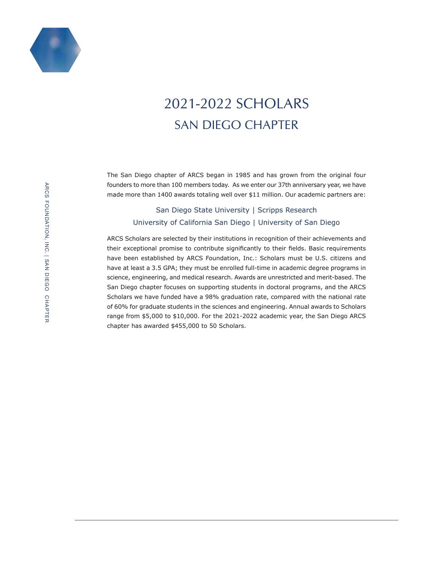

# 2021-2022 scholARs sAn diego chAPteR

The San Diego chapter of ARCS began in 1985 and has grown from the original four founders to more than 100 members today. As we enter our 37th anniversary year, we have made more than 1400 awards totaling well over \$11 million. Our academic partners are:

#### San Diego State University | Scripps Research University of California San Diego | University of San Diego

ARCS Scholars are selected by their institutions in recognition of their achievements and their exceptional promise to contribute signifcantly to their felds. Basic requirements have been established by ARCS Foundation, Inc.: Scholars must be U.S. citizens and have at least a 3.5 GPA; they must be enrolled full-time in academic degree programs in science, engineering, and medical research. Awards are unrestricted and merit-based. The San Diego chapter focuses on supporting students in doctoral programs, and the ARCS Scholars we have funded have a 98% graduation rate, compared with the national rate of 60% for graduate students in the sciences and engineering. Annual awards to Scholars range from \$5,000 to \$10,000. For the 2021-2022 academic year, the San Diego ARCS chapter has awarded \$455,000 to 50 Scholars.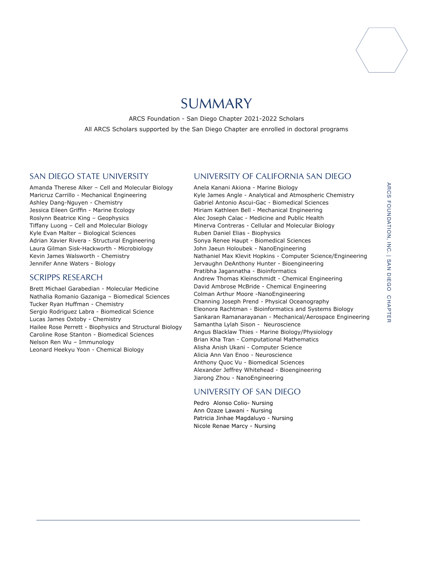

#### **SUMMARY**

ARCS Foundation - San Diego Chapter 2021-2022 Scholars All ARCS Scholars supported by the San Diego Chapter are enrolled in doctoral programs

#### sAn diego stAte UniveRsitY

Amanda Therese Alker – Cell and Molecular Biology Maricruz Carrillo - Mechanical Engineering Ashley Dang-Nguyen - Chemistry Jessica Eileen Griffn - Marine Ecology Roslynn Beatrice King – Geophysics Tiffany Luong – Cell and Molecular Biology Kyle Evan Malter – Biological Sciences Adrian Xavier Rivera - Structural Engineering Laura Gilman Sisk-Hackworth - Microbiology Kevin James Walsworth - Chemistry Jennifer Anne Waters - Biology

#### scRiPPs ReseARch

Brett Michael Garabedian - Molecular Medicine nathalia Romanio Gazaniga – Biomedical Sciences Tucker Ryan Huffman - Chemistry Sergio Rodriguez Labra - Biomedical Science Lucas James Oxtoby - Chemistry Hailee Rose Perrett - Biophysics and Structural Biology Caroline Rose Stanton - Biomedical Sciences nelson Ren Wu – Immunology Leonard Heekyu Yoon - Chemical Biology

#### UniveRsitY oF cAliFoRniA sAn diego

Anela Kanani Akiona - Marine Biology Kyle James Angle - Analytical and Atmospheric Chemistry Gabriel Antonio Ascui-Gac - Biomedical Sciences Miriam Kathleen Bell - Mechanical Engineering Alec Joseph Calac - Medicine and Public Health Minerva Contreras - Cellular and Molecular Biology Ruben Daniel Elias - Biophysics Sonya Renee Haupt - Biomedical Sciences John Jaeun Holoubek - NanoEngineering nathaniel Max Klevit Hopkins - Computer Science/Engineering Jervaughn DeAnthony Hunter - Bioengineering Pratibha Jagannatha - Bioinformatics Andrew Thomas Kleinschmidt - Chemical Engineering David Ambrose McBride - Chemical Engineering Colman Arthur Moore -NanoEngineering Channing Joseph Prend - Physical Oceanography Eleonora Rachtman - Bioinformatics and Systems Biology Sankaran Ramanarayanan - Mechanical/Aerospace Engineering Samantha Lylah Sison - Neuroscience Angus Blacklaw Thies - Marine Biology/Physiology Brian Kha Tran - Computational Mathematics Alisha Anish Ukani - Computer Science Alicia Ann Van Enoo - neuroscience Anthony Quoc Vu - Biomedical Sciences Alexander Jeffrey Whitehead - Bioengineering Jiarong Zhou - NanoEngineering

#### UniveRsitY oF sAn diego

Pedro Alonso Colio- Nursing Ann Ozaze Lawani - Nursing Patricia Jinhae Magdaluyo - Nursing Nicole Renae Marcy - Nursing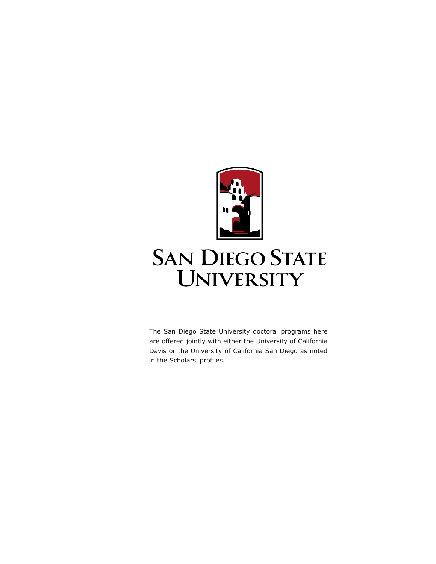

# **SAN DIEGO STATE UNIVERSITY**

The San Diego State University doctoral programs here are offered jointly with either the University of California Davis or the University of California San Diego as noted in the Scholars' profiles.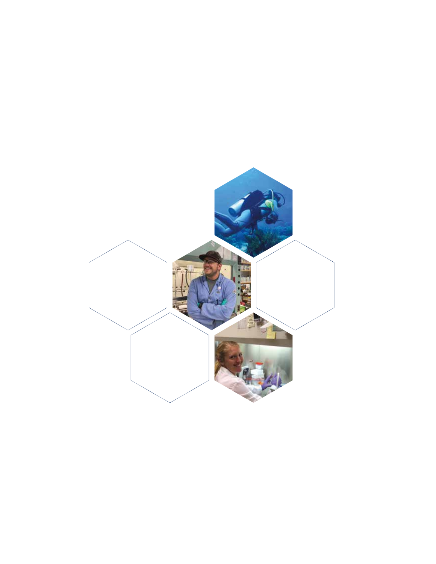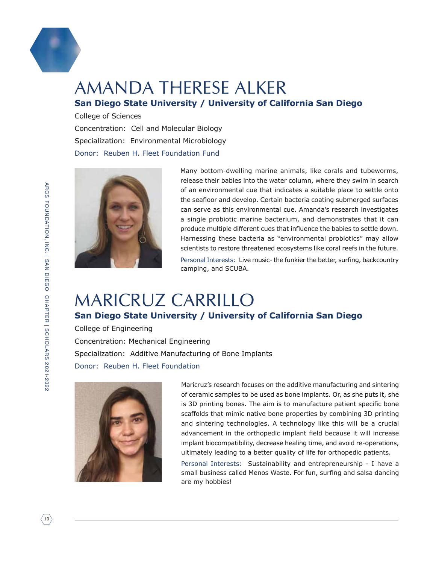

### AmAndA theRese AlKeR **San Diego State University / University of California San Diego**

College of Sciences

Concentration: Cell and Molecular Biology Specialization: Environmental Microbiology Donor: Reuben H. Fleet Foundation Fund



Many bottom-dwelling marine animals, like corals and tubeworms, release their babies into the water column, where they swim in search of an environmental cue that indicates a suitable place to settle onto the seafoor and develop. Certain bacteria coating submerged surfaces can serve as this environmental cue. Amanda's research investigates a single probiotic marine bacterium, and demonstrates that it can produce multiple different cues that infuence the babies to settle down. Harnessing these bacteria as "environmental probiotics" may allow scientists to restore threatened ecosystems like coral reefs in the future.

Personal Interests: Live music- the funkier the better, surfing, backcountry camping, and SCUBA.

#### mARicRUz cARRillo **San Diego State University / University of California San Diego**

College of Engineering Concentration: Mechanical Engineering Specialization: Additive Manufacturing of Bone Implants Donor: Reuben H. Fleet Foundation



Maricruz's research focuses on the additive manufacturing and sintering of ceramic samples to be used as bone implants. Or, as she puts it, she is 3D printing bones. The aim is to manufacture patient specifc bone scaffolds that mimic native bone properties by combining 3D printing and sintering technologies. A technology like this will be a crucial advancement in the orthopedic implant feld because it will increase implant biocompatibility, decrease healing time, and avoid re-operations, ultimately leading to a better quality of life for orthopedic patients.

Personal Interests: Sustainability and entrepreneurship - I have a small business called Menos Waste. For fun, surfing and salsa dancing are my hobbies!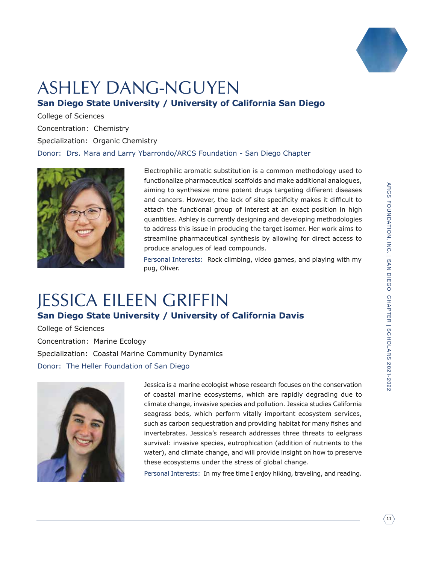

### AshleY dAng-ngUYen **San Diego State University / University of California San Diego**

College of Sciences

Concentration: Chemistry

Specialization: Organic Chemistry

#### Donor: Drs. Mara and Larry Ybarrondo/ARCS Foundation - San Diego Chapter



Electrophilic aromatic substitution is a common methodology used to functionalize pharmaceutical scaffolds and make additional analogues, aiming to synthesize more potent drugs targeting different diseases and cancers. However, the lack of site specificity makes it difficult to attach the functional group of interest at an exact position in high quantities. Ashley is currently designing and developing methodologies to address this issue in producing the target isomer. Her work aims to streamline pharmaceutical synthesis by allowing for direct access to produce analogues of lead compounds.

Personal Interests: Rock climbing, video games, and playing with my pug, Oliver.

### JessicA eileen gRiFFin **San Diego State University / University of California Davis**

College of Sciences Concentration: Marine Ecology Specialization: Coastal Marine Community Dynamics Donor: The Heller Foundation of San Diego



Jessica is a marine ecologist whose research focuses on the conservation of coastal marine ecosystems, which are rapidly degrading due to climate change, invasive species and pollution. Jessica studies California seagrass beds, which perform vitally important ecosystem services, such as carbon sequestration and providing habitat for many fishes and invertebrates. Jessica's research addresses three threats to eelgrass survival: invasive species, eutrophication (addition of nutrients to the water), and climate change, and will provide insight on how to preserve these ecosystems under the stress of global change.

Personal Interests: In my free time I enjoy hiking, traveling, and reading.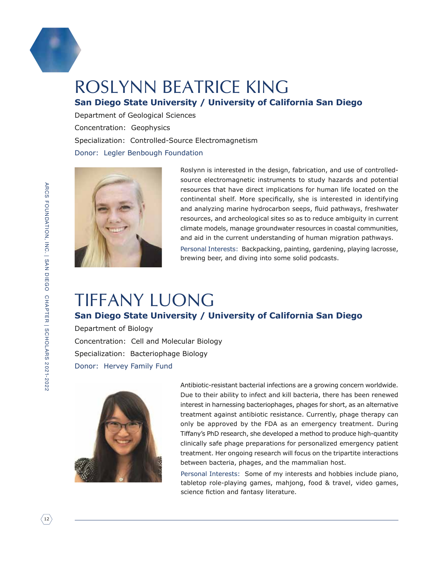

# RoslYnn BeAtRice King **San Diego State University / University of California San Diego**

Department of Geological Sciences Concentration: Geophysics Specialization: Controlled-Source Electromagnetism Donor: Legler Benbough Foundation



Roslynn is interested in the design, fabrication, and use of controlledsource electromagnetic instruments to study hazards and potential resources that have direct implications for human life located on the continental shelf. More specifcally, she is interested in identifying and analyzing marine hydrocarbon seeps, fuid pathways, freshwater resources, and archeological sites so as to reduce ambiguity in current climate models, manage groundwater resources in coastal communities, and aid in the current understanding of human migration pathways.

Personal Interests: Backpacking, painting, gardening, playing lacrosse, brewing beer, and diving into some solid podcasts.

#### tiFFAnY lUong **San Diego State University / University of California San Diego**

Department of Biology Concentration: Cell and Molecular Biology Specialization: Bacteriophage Biology Donor: Hervey Family Fund



Antibiotic-resistant bacterial infections are a growing concern worldwide. Due to their ability to infect and kill bacteria, there has been renewed interest in harnessing bacteriophages, phages for short, as an alternative treatment against antibiotic resistance. Currently, phage therapy can only be approved by the FDA as an emergency treatment. During Tiffany's PhD research, she developed a method to produce high-quantity clinically safe phage preparations for personalized emergency patient treatment. Her ongoing research will focus on the tripartite interactions between bacteria, phages, and the mammalian host.

Personal Interests: Some of my interests and hobbies include piano, tabletop role-playing games, mahjong, food & travel, video games, science fiction and fantasy literature.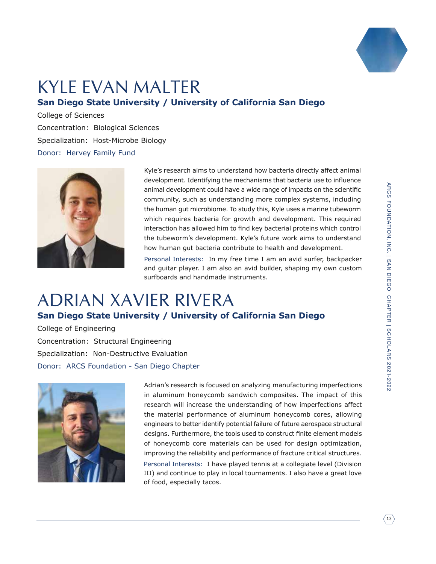

#### KYle evAn mAlteR **San Diego State University / University of California San Diego**

College of Sciences Concentration: Biological Sciences Specialization: Host-Microbe Biology Donor: Hervey Family Fund



Kyle's research aims to understand how bacteria directly affect animal development. Identifying the mechanisms that bacteria use to infuence animal development could have a wide range of impacts on the scientifc community, such as understanding more complex systems, including the human gut microbiome. To study this, Kyle uses a marine tubeworm which requires bacteria for growth and development. This required interaction has allowed him to fnd key bacterial proteins which control the tubeworm's development. Kyle's future work aims to understand how human gut bacteria contribute to health and development.

Personal Interests: In my free time I am an avid surfer, backpacker and guitar player. I am also an avid builder, shaping my own custom surfboards and handmade instruments.

#### AdRiAn XAvieR RiveRA **San Diego State University / University of California San Diego**

College of Engineering Concentration: Structural Engineering Specialization: Non-Destructive Evaluation Donor: ARCS Foundation - San Diego Chapter



Adrian's research is focused on analyzing manufacturing imperfections in aluminum honeycomb sandwich composites. The impact of this research will increase the understanding of how imperfections affect the material performance of aluminum honeycomb cores, allowing engineers to better identify potential failure of future aerospace structural designs. Furthermore, the tools used to construct fnite element models of honeycomb core materials can be used for design optimization, improving the reliability and performance of fracture critical structures.

Personal Interests: I have played tennis at a collegiate level (Division III) and continue to play in local tournaments. I also have a great love of food, especially tacos.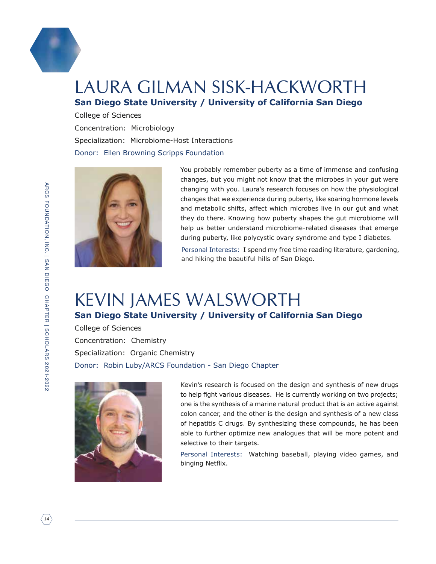

### lAURA gilmAn sisK-hAcKwoRth **San Diego State University / University of California San Diego**

College of Sciences

Concentration: Microbiology

Specialization: Microbiome-Host Interactions Donor: Ellen Browning Scripps Foundation



You probably remember puberty as a time of immense and confusing changes, but you might not know that the microbes in your gut were changing with you. Laura's research focuses on how the physiological changes that we experience during puberty, like soaring hormone levels and metabolic shifts, affect which microbes live in our gut and what they do there. Knowing how puberty shapes the gut microbiome will help us better understand microbiome-related diseases that emerge during puberty, like polycystic ovary syndrome and type I diabetes.

Personal Interests: I spend my free time reading literature, gardening, and hiking the beautiful hills of San Diego.

### Kevin JAmes wAlswoRth **San Diego State University / University of California San Diego**

College of Sciences Concentration: Chemistry Specialization: Organic Chemistry Donor: Robin Luby/ARCS Foundation - San Diego Chapter



Kevin's research is focused on the design and synthesis of new drugs to help fight various diseases. He is currently working on two projects; one is the synthesis of a marine natural product that is an active against colon cancer, and the other is the design and synthesis of a new class of hepatitis C drugs. By synthesizing these compounds, he has been able to further optimize new analogues that will be more potent and selective to their targets.

Personal Interests: Watching baseball, playing video games, and binging Netflix.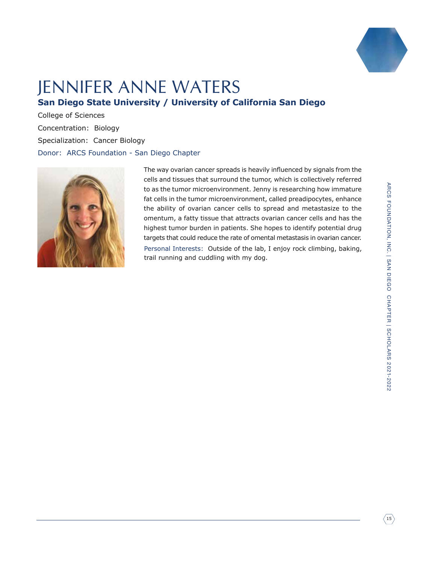

#### JenniFeR Anne wAteRs **San Diego State University / University of California San Diego**

College of Sciences Concentration: Biology Specialization: Cancer Biology Donor: ARCS Foundation - San Diego Chapter



The way ovarian cancer spreads is heavily infuenced by signals from the cells and tissues that surround the tumor, which is collectively referred to as the tumor microenvironment. Jenny is researching how immature fat cells in the tumor microenvironment, called preadipocytes, enhance the ability of ovarian cancer cells to spread and metastasize to the omentum, a fatty tissue that attracts ovarian cancer cells and has the highest tumor burden in patients. She hopes to identify potential drug targets that could reduce the rate of omental metastasis in ovarian cancer. Personal Interests: Outside of the lab, I enjoy rock climbing, baking, trail running and cuddling with my dog.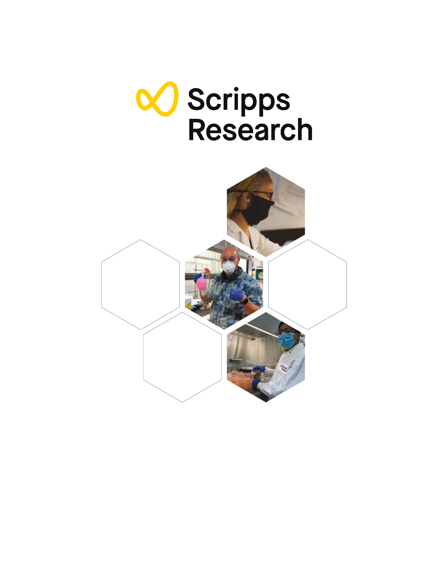

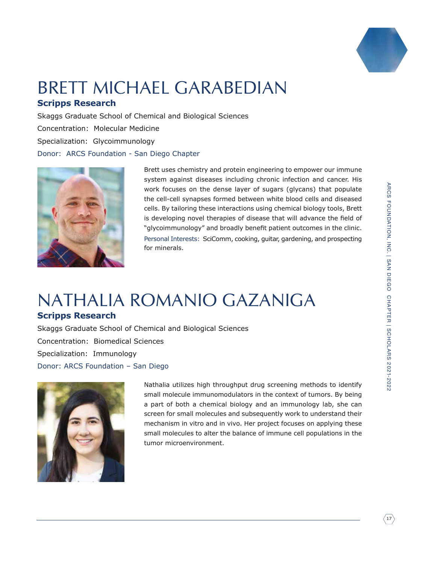

#### BRett michAel gARABediAn **Scripps Research**

Skaggs Graduate School of Chemical and Biological Sciences Concentration: Molecular Medicine Specialization: Glycoimmunology Donor: ARCS Foundation - San Diego Chapter



Brett uses chemistry and protein engineering to empower our immune system against diseases including chronic infection and cancer. His work focuses on the dense layer of sugars (glycans) that populate the cell-cell synapses formed between white blood cells and diseased cells. By tailoring these interactions using chemical biology tools, Brett is developing novel therapies of disease that will advance the feld of "glycoimmunology" and broadly beneft patient outcomes in the clinic. Personal Interests: SciComm, cooking, guitar, gardening, and prospecting for minerals.

#### nAthAliA RomAnio gAzAnigA **Scripps Research**

Skaggs Graduate School of Chemical and Biological Sciences Concentration: Biomedical Sciences Specialization: Immunology Donor: ARCS Foundation – San Diego



nathalia utilizes high throughput drug screening methods to identify small molecule immunomodulators in the context of tumors. By being a part of both a chemical biology and an immunology lab, she can screen for small molecules and subsequently work to understand their mechanism in vitro and in vivo. Her project focuses on applying these small molecules to alter the balance of immune cell populations in the tumor microenvironment.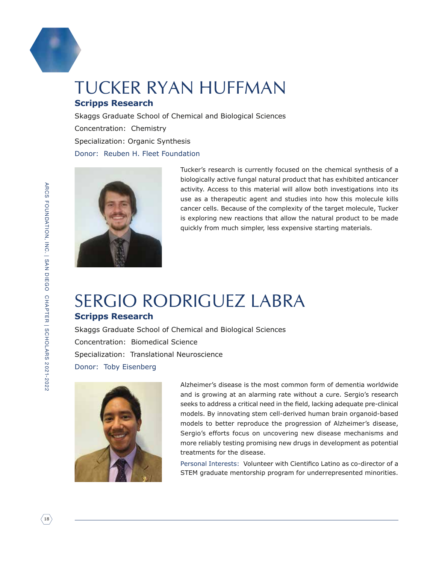

#### tUcKeR RYAn hUFFmAn **Scripps Research**

Skaggs Graduate School of Chemical and Biological Sciences Concentration: Chemistry Specialization: Organic Synthesis Donor: Reuben H. Fleet Foundation



Tucker's research is currently focused on the chemical synthesis of a biologically active fungal natural product that has exhibited anticancer activity. Access to this material will allow both investigations into its use as a therapeutic agent and studies into how this molecule kills cancer cells. Because of the complexity of the target molecule, Tucker is exploring new reactions that allow the natural product to be made quickly from much simpler, less expensive starting materials.

### seRgio RodRigUez lABRA **Scripps Research**

Skaggs Graduate School of Chemical and Biological Sciences Concentration: Biomedical Science Specialization: Translational Neuroscience Donor: Toby Eisenberg



Alzheimer's disease is the most common form of dementia worldwide and is growing at an alarming rate without a cure. Sergio's research seeks to address a critical need in the feld, lacking adequate pre-clinical models. By innovating stem cell-derived human brain organoid-based models to better reproduce the progression of Alzheimer's disease, Sergio's efforts focus on uncovering new disease mechanisms and more reliably testing promising new drugs in development as potential treatments for the disease.

Personal Interests: Volunteer with Cientifco Latino as co-director of a STEM graduate mentorship program for underrepresented minorities.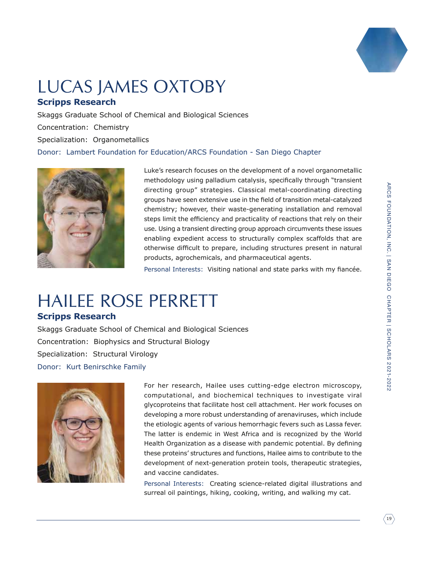

#### lUcAs JAmes oXtoBY **Scripps Research**

Skaggs Graduate School of Chemical and Biological Sciences Concentration: Chemistry Specialization: Organometallics Donor: Lambert Foundation for Education/ARCS Foundation - San Diego Chapter



Luke's research focuses on the development of a novel organometallic methodology using palladium catalysis, specifcally through "transient directing group" strategies. Classical metal-coordinating directing groups have seen extensive use in the feld of transition metal-catalyzed chemistry; however, their waste-generating installation and removal steps limit the efficiency and practicality of reactions that rely on their use. Using a transient directing group approach circumvents these issues enabling expedient access to structurally complex scaffolds that are otherwise diffcult to prepare, including structures present in natural products, agrochemicals, and pharmaceutical agents.

Personal Interests: Visiting national and state parks with my fiancée.

#### hAilee Rose PeRRett **Scripps Research**

Skaggs Graduate School of Chemical and Biological Sciences Concentration: Biophysics and Structural Biology Specialization: Structural Virology Donor: Kurt Benirschke Family



For her research, Hailee uses cutting-edge electron microscopy, computational, and biochemical techniques to investigate viral glycoproteins that facilitate host cell attachment. Her work focuses on developing a more robust understanding of arenaviruses, which include the etiologic agents of various hemorrhagic fevers such as Lassa fever. The latter is endemic in West Africa and is recognized by the World Health Organization as a disease with pandemic potential. By defining these proteins' structures and functions, Hailee aims to contribute to the development of next-generation protein tools, therapeutic strategies, and vaccine candidates.

Personal Interests: Creating science-related digital illustrations and surreal oil paintings, hiking, cooking, writing, and walking my cat.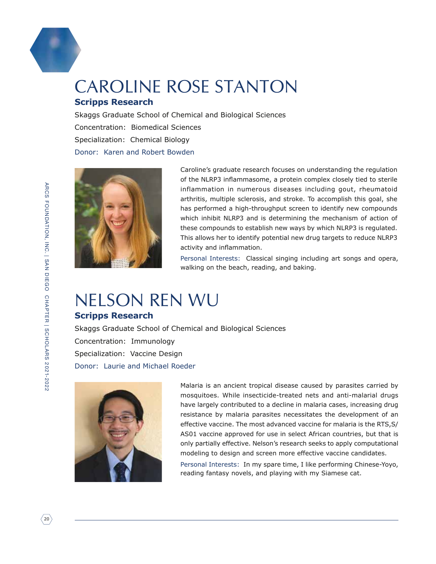

#### cARoline Rose stAnton **Scripps Research**

Skaggs Graduate School of Chemical and Biological Sciences Concentration: Biomedical Sciences Specialization: Chemical Biology Donor: Karen and Robert Bowden



Caroline's graduate research focuses on understanding the regulation of the nLRP3 infammasome, a protein complex closely tied to sterile inflammation in numerous diseases including gout, rheumatoid arthritis, multiple sclerosis, and stroke. To accomplish this goal, she has performed a high-throughput screen to identify new compounds which inhibit nLRP3 and is determining the mechanism of action of these compounds to establish new ways by which nLRP3 is regulated. This allows her to identify potential new drug targets to reduce nLRP3 activity and infammation.

Personal Interests: Classical singing including art songs and opera, walking on the beach, reading, and baking.

#### nelson Ren wU **Scripps Research**

Skaggs Graduate School of Chemical and Biological Sciences Concentration: Immunology Specialization: Vaccine Design Donor: Laurie and Michael Roeder



Malaria is an ancient tropical disease caused by parasites carried by mosquitoes. While insecticide-treated nets and anti-malarial drugs have largely contributed to a decline in malaria cases, increasing drug resistance by malaria parasites necessitates the development of an effective vaccine. The most advanced vaccine for malaria is the RTS,S/ AS01 vaccine approved for use in select African countries, but that is only partially effective. nelson's research seeks to apply computational modeling to design and screen more effective vaccine candidates.

Personal Interests: In my spare time, I like performing Chinese-Yoyo, reading fantasy novels, and playing with my Siamese cat.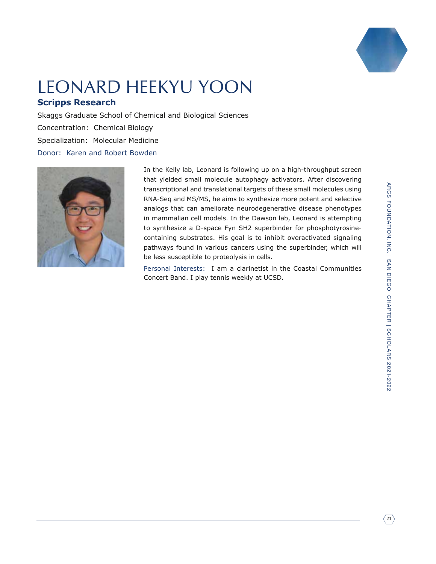

### leonARd heeKYU Yoon **Scripps Research**

Skaggs Graduate School of Chemical and Biological Sciences Concentration: Chemical Biology Specialization: Molecular Medicine Donor: Karen and Robert Bowden



In the Kelly lab, Leonard is following up on a high-throughput screen that yielded small molecule autophagy activators. After discovering transcriptional and translational targets of these small molecules using RnA-Seq and MS/MS, he aims to synthesize more potent and selective analogs that can ameliorate neurodegenerative disease phenotypes in mammalian cell models. In the Dawson lab, Leonard is attempting to synthesize a D-space Fyn SH2 superbinder for phosphotyrosinecontaining substrates. His goal is to inhibit overactivated signaling pathways found in various cancers using the superbinder, which will be less susceptible to proteolysis in cells.

Personal Interests: I am a clarinetist in the Coastal Communities Concert Band. I play tennis weekly at UCSD.

 $\big\langle 21 \big\rangle$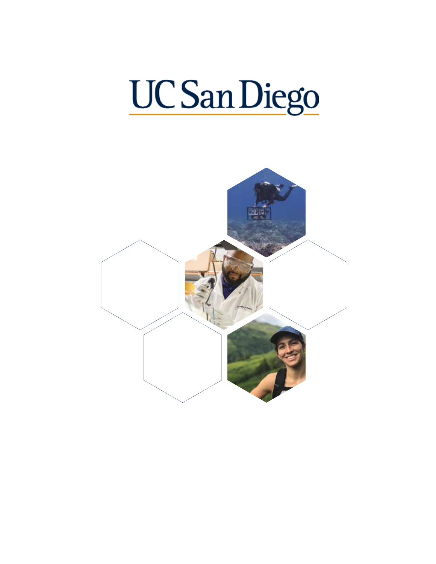

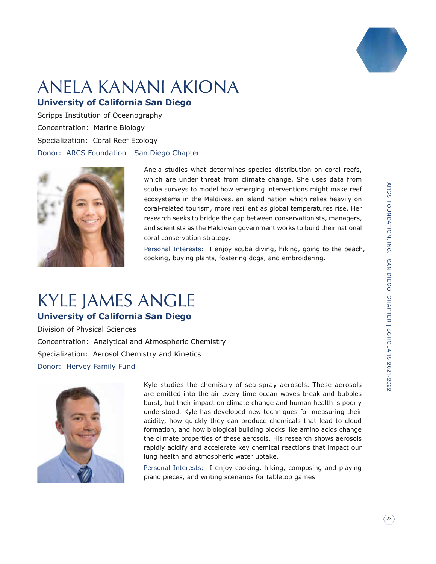#### AnelA KAnAni AKionA **University of California San Diego**

Scripps Institution of Oceanography Concentration: Marine Biology Specialization: Coral Reef Ecology Donor: ARCS Foundation - San Diego Chapter



Anela studies what determines species distribution on coral reefs, which are under threat from climate change. She uses data from scuba surveys to model how emerging interventions might make reef ecosystems in the Maldives, an island nation which relies heavily on coral-related tourism, more resilient as global temperatures rise. Her research seeks to bridge the gap between conservationists, managers, and scientists as the Maldivian government works to build their national coral conservation strategy.

Personal Interests: I enjoy scuba diving, hiking, going to the beach, cooking, buying plants, fostering dogs, and embroidering.

#### KYle JAmes Angle **University of California San Diego**

Division of Physical Sciences Concentration: Analytical and Atmospheric Chemistry Specialization: Aerosol Chemistry and Kinetics Donor: Hervey Family Fund



Kyle studies the chemistry of sea spray aerosols. These aerosols are emitted into the air every time ocean waves break and bubbles burst, but their impact on climate change and human health is poorly understood. Kyle has developed new techniques for measuring their acidity, how quickly they can produce chemicals that lead to cloud formation, and how biological building blocks like amino acids change the climate properties of these aerosols. His research shows aerosols rapidly acidify and accelerate key chemical reactions that impact our lung health and atmospheric water uptake.

Personal Interests: I enjoy cooking, hiking, composing and playing piano pieces, and writing scenarios for tabletop games.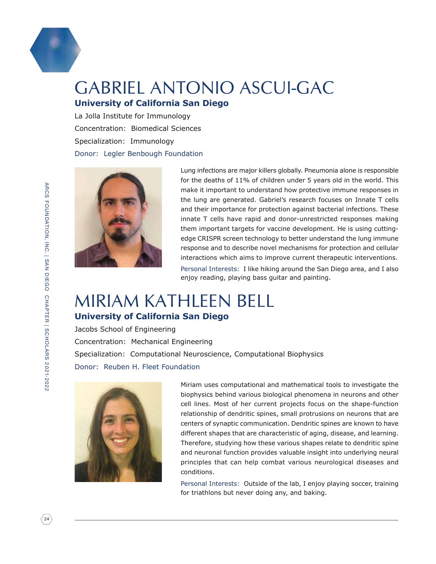

#### gABRiel Antonio AscUi-gAc **University of California San Diego**

La Jolla Institute for Immunology Concentration: Biomedical Sciences Specialization: Immunology Donor: Legler Benbough Foundation



Lung infections are major killers globally. Pneumonia alone is responsible for the deaths of 11% of children under 5 years old in the world. This make it important to understand how protective immune responses in the lung are generated. Gabriel's research focuses on Innate T cells and their importance for protection against bacterial infections. These innate T cells have rapid and donor-unrestricted responses making them important targets for vaccine development. He is using cuttingedge CRISPR screen technology to better understand the lung immune response and to describe novel mechanisms for protection and cellular interactions which aims to improve current therapeutic interventions. Personal Interests: I like hiking around the San Diego area, and I also enjoy reading, playing bass guitar and painting.

#### miRiAm KAthleen Bell **University of California San Diego**

Jacobs School of Engineering Concentration: Mechanical Engineering Specialization: Computational neuroscience, Computational Biophysics Donor: Reuben H. Fleet Foundation



Miriam uses computational and mathematical tools to investigate the biophysics behind various biological phenomena in neurons and other cell lines. Most of her current projects focus on the shape-function relationship of dendritic spines, small protrusions on neurons that are centers of synaptic communication. Dendritic spines are known to have different shapes that are characteristic of aging, disease, and learning. Therefore, studying how these various shapes relate to dendritic spine and neuronal function provides valuable insight into underlying neural principles that can help combat various neurological diseases and conditions.

Personal Interests: Outside of the lab, I enjoy playing soccer, training for triathlons but never doing any, and baking.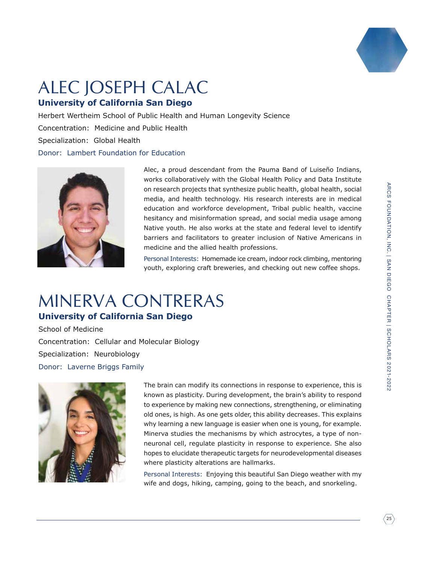

#### Alec JosePh cAlAc **University of California San Diego**

Herbert Wertheim School of Public Health and Human Longevity Science

Concentration: Medicine and Public Health

Specialization: Global Health

#### Donor: Lambert Foundation for Education



Alec, a proud descendant from the Pauma Band of Luiseño Indians, works collaboratively with the Global Health Policy and Data Institute on research projects that synthesize public health, global health, social media, and health technology. His research interests are in medical education and workforce development, Tribal public health, vaccine hesitancy and misinformation spread, and social media usage among native youth. He also works at the state and federal level to identify barriers and facilitators to greater inclusion of native Americans in medicine and the allied health professions.

Personal Interests: Homemade ice cream, indoor rock climbing, mentoring youth, exploring craft breweries, and checking out new coffee shops.

#### mineRvA contReRAs **University of California San Diego**

School of Medicine Concentration: Cellular and Molecular Biology Specialization: Neurobiology Donor: Laverne Briggs Family



The brain can modify its connections in response to experience, this is known as plasticity. During development, the brain's ability to respond to experience by making new connections, strengthening, or eliminating old ones, is high. As one gets older, this ability decreases. This explains why learning a new language is easier when one is young, for example. Minerva studies the mechanisms by which astrocytes, a type of nonneuronal cell, regulate plasticity in response to experience. She also hopes to elucidate therapeutic targets for neurodevelopmental diseases where plasticity alterations are hallmarks.

Personal Interests: Enjoying this beautiful San Diego weather with my wife and dogs, hiking, camping, going to the beach, and snorkeling.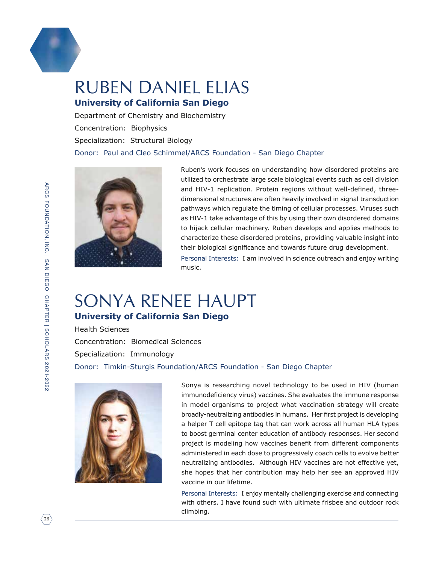

#### RUBen dAniel eliAs **University of California San Diego**

Department of Chemistry and Biochemistry Concentration: Biophysics Specialization: Structural Biology Donor: Paul and Cleo Schimmel/ARCS Foundation - San Diego Chapter



Ruben's work focuses on understanding how disordered proteins are utilized to orchestrate large scale biological events such as cell division and HIV-1 replication. Protein regions without well-defned, threedimensional structures are often heavily involved in signal transduction pathways which regulate the timing of cellular processes. Viruses such as HIV-1 take advantage of this by using their own disordered domains to hijack cellular machinery. Ruben develops and applies methods to characterize these disordered proteins, providing valuable insight into their biological signifcance and towards future drug development. Personal Interests: I am involved in science outreach and enjoy writing music.

### sonYA Renee hAUPt **University of California San Diego**

Health Sciences Concentration: Biomedical Sciences Specialization: Immunology Donor: Timkin-Sturgis Foundation/ARCS Foundation - San Diego Chapter



Sonya is researching novel technology to be used in HIV (human immunodeficiency virus) vaccines. She evaluates the immune response in model organisms to project what vaccination strategy will create broadly-neutralizing antibodies in humans. Her frst project is developing a helper T cell epitope tag that can work across all human HLA types to boost germinal center education of antibody responses. Her second project is modeling how vaccines beneft from different components administered in each dose to progressively coach cells to evolve better neutralizing antibodies. Although HIV vaccines are not effective yet, she hopes that her contribution may help her see an approved HIV vaccine in our lifetime.

Personal Interests: I enjoy mentally challenging exercise and connecting with others. I have found such with ultimate frisbee and outdoor rock climbing.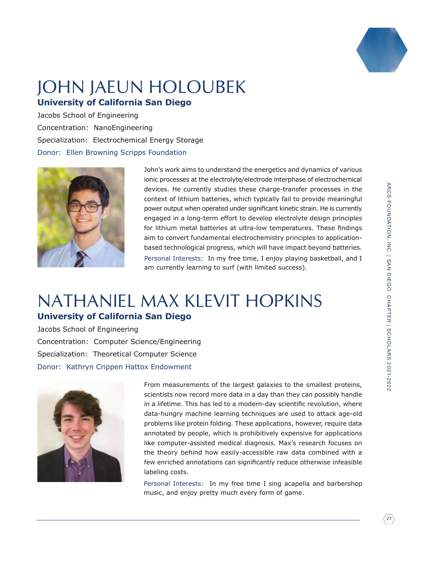

# John JAeUn holoUBeK **University of California San Diego**

Jacobs School of Engineering Concentration: NanoEngineering Specialization: Electrochemical Energy Storage Donor: Ellen Browning Scripps Foundation



John's work aims to understand the energetics and dynamics of various ionic processes at the electrolyte/electrode interphase of electrochemical devices. He currently studies these charge-transfer processes in the context of lithium batteries, which typically fail to provide meaningful power output when operated under signifcant kinetic strain. He is currently engaged in a long-term effort to develop electrolyte design principles for lithium metal batteries at ultra-low temperatures. These fndings aim to convert fundamental electrochemistry principles to applicationbased technological progress, which will have impact beyond batteries. Personal Interests: In my free time, I enjoy playing basketball, and I am currently learning to surf (with limited success).

### nAthAniel mAX Klevit hoPKins **University of California San Diego**

Jacobs School of Engineering Concentration: Computer Science/Engineering Specialization: Theoretical Computer Science Donor: Kathryn Crippen Hattox Endowment



From measurements of the largest galaxies to the smallest proteins, scientists now record more data in a day than they can possibly handle in a lifetime. This has led to a modern-day scientific revolution, where data-hungry machine learning techniques are used to attack age-old problems like protein folding. These applications, however, require data annotated by people, which is prohibitively expensive for applications like computer-assisted medical diagnosis. Max's research focuses on the theory behind how easily-accessible raw data combined with a few enriched annotations can signifcantly reduce otherwise infeasible labeling costs.

Personal Interests: In my free time I sing acapella and barbershop music, and enjoy pretty much every form of game.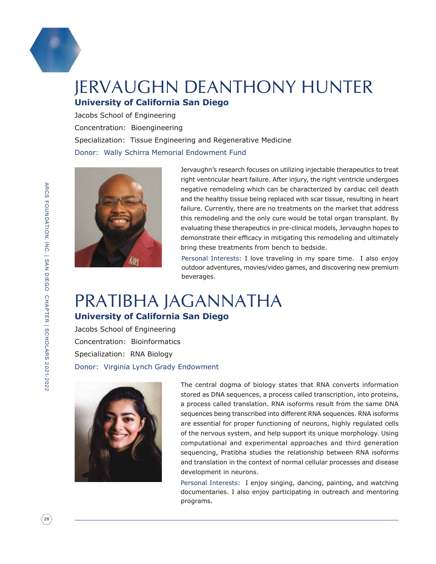

# JeRvAUghn deAnthonY hUnteR **University of California San Diego**

Jacobs School of Engineering Concentration: Bioengineering Specialization: Tissue Engineering and Regenerative Medicine Donor: Wally Schirra Memorial Endowment Fund



Jervaughn's research focuses on utilizing injectable therapeutics to treat right ventricular heart failure. After injury, the right ventricle undergoes negative remodeling which can be characterized by cardiac cell death and the healthy tissue being replaced with scar tissue, resulting in heart failure. Currently, there are no treatments on the market that address this remodeling and the only cure would be total organ transplant. By evaluating these therapeutics in pre-clinical models, Jervaughn hopes to demonstrate their efficacy in mitigating this remodeling and ultimately bring these treatments from bench to bedside.

Personal Interests: I love traveling in my spare time. I also enjoy outdoor adventures, movies/video games, and discovering new premium beverages.

#### PRAtiBhA JAgAnnAthA **University of California San Diego**

Jacobs School of Engineering Concentration: Bioinformatics Specialization: RnA Biology Donor: Virginia Lynch Grady Endowment



The central dogma of biology states that RnA converts information stored as DnA sequences, a process called transcription, into proteins, a process called translation. RnA isoforms result from the same DnA sequences being transcribed into different RnA sequences. RnA isoforms are essential for proper functioning of neurons, highly regulated cells of the nervous system, and help support its unique morphology. Using computational and experimental approaches and third generation sequencing, Pratibha studies the relationship between RnA isoforms and translation in the context of normal cellular processes and disease development in neurons.

Personal Interests: I enjoy singing, dancing, painting, and watching documentaries. I also enjoy participating in outreach and mentoring programs.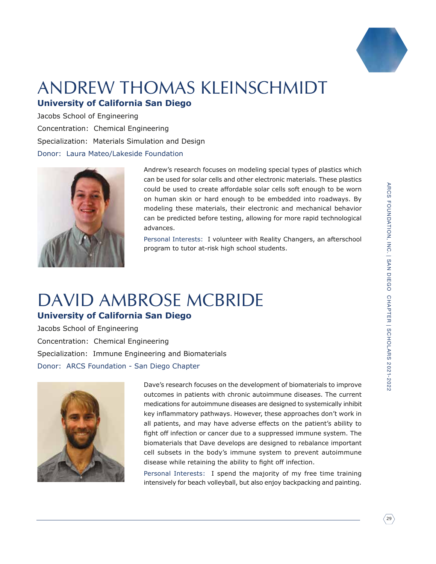

#### AndRew thomAs Kleinschmidt **University of California San Diego**

Jacobs School of Engineering Concentration: Chemical Engineering Specialization: Materials Simulation and Design Donor: Laura Mateo/Lakeside Foundation



Andrew's research focuses on modeling special types of plastics which can be used for solar cells and other electronic materials. These plastics could be used to create affordable solar cells soft enough to be worn on human skin or hard enough to be embedded into roadways. By modeling these materials, their electronic and mechanical behavior can be predicted before testing, allowing for more rapid technological advances.

Personal Interests: I volunteer with Reality Changers, an afterschool program to tutor at-risk high school students.

#### dAvid AmBRose mcBRide **University of California San Diego**

Jacobs School of Engineering Concentration: Chemical Engineering Specialization: Immune Engineering and Biomaterials Donor: ARCS Foundation - San Diego Chapter



Dave's research focuses on the development of biomaterials to improve outcomes in patients with chronic autoimmune diseases. The current medications for autoimmune diseases are designed to systemically inhibit key infammatory pathways. However, these approaches don't work in all patients, and may have adverse effects on the patient's ability to fght off infection or cancer due to a suppressed immune system. The biomaterials that Dave develops are designed to rebalance important cell subsets in the body's immune system to prevent autoimmune disease while retaining the ability to fight off infection.

Personal Interests: I spend the majority of my free time training intensively for beach volleyball, but also enjoy backpacking and painting.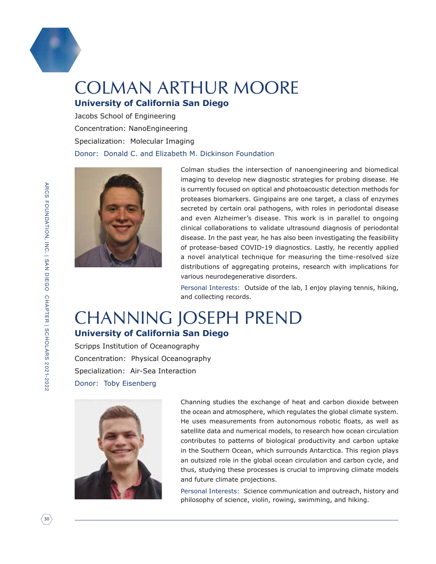

## colmAn ARthUR mooRe **University of California San Diego**

Jacobs School of Engineering Concentration: NanoEngineering Specialization: Molecular Imaging Donor: Donald C. and Elizabeth M. Dickinson Foundation



Colman studies the intersection of nanoengineering and biomedical imaging to develop new diagnostic strategies for probing disease. He is currently focused on optical and photoacoustic detection methods for proteases biomarkers. Gingipains are one target, a class of enzymes secreted by certain oral pathogens, with roles in periodontal disease and even Alzheimer's disease. This work is in parallel to ongoing clinical collaborations to validate ultrasound diagnosis of periodontal disease. In the past year, he has also been investigating the feasibility of protease-based COVID-19 diagnostics. Lastly, he recently applied a novel analytical technique for measuring the time-resolved size distributions of aggregating proteins, research with implications for various neurodegenerative disorders.

Personal Interests: Outside of the lab, I enjoy playing tennis, hiking, and collecting records.

#### chAnning JosePh PRend **University of California San Diego**

Scripps Institution of Oceanography Concentration: Physical Oceanography Specialization: Air-Sea Interaction Donor: Toby Eisenberg



Channing studies the exchange of heat and carbon dioxide between the ocean and atmosphere, which regulates the global climate system. He uses measurements from autonomous robotic floats, as well as satellite data and numerical models, to research how ocean circulation contributes to patterns of biological productivity and carbon uptake in the Southern Ocean, which surrounds Antarctica. This region plays an outsized role in the global ocean circulation and carbon cycle, and thus, studying these processes is crucial to improving climate models and future climate projections.

Personal Interests: Science communication and outreach, history and philosophy of science, violin, rowing, swimming, and hiking.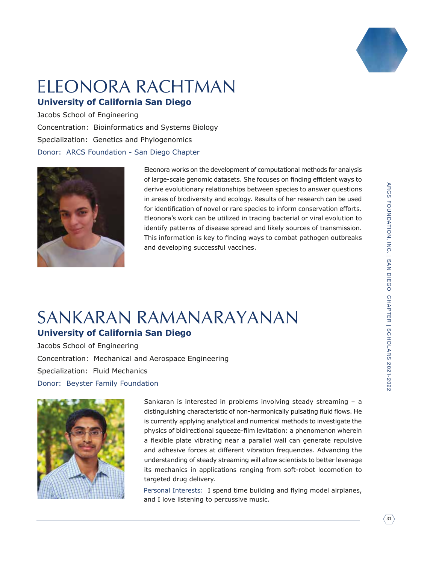

#### eleonoRA RAchtmAn **University of California San Diego**

Jacobs School of Engineering Concentration: Bioinformatics and Systems Biology Specialization: Genetics and Phylogenomics Donor: ARCS Foundation - San Diego Chapter



Eleonora works on the development of computational methods for analysis of large-scale genomic datasets. She focuses on finding efficient ways to derive evolutionary relationships between species to answer questions in areas of biodiversity and ecology. Results of her research can be used for identifcation of novel or rare species to inform conservation efforts. Eleonora's work can be utilized in tracing bacterial or viral evolution to identify patterns of disease spread and likely sources of transmission. This information is key to fnding ways to combat pathogen outbreaks and developing successful vaccines.

#### sAnKARAn RAmAnARAYAnAn **University of California San Diego**

Jacobs School of Engineering Concentration: Mechanical and Aerospace Engineering Specialization: Fluid Mechanics Donor: Beyster Family Foundation



Sankaran is interested in problems involving steady streaming – a distinguishing characteristic of non-harmonically pulsating fuid fows. He is currently applying analytical and numerical methods to investigate the physics of bidirectional squeeze-flm levitation: a phenomenon wherein a fexible plate vibrating near a parallel wall can generate repulsive and adhesive forces at different vibration frequencies. Advancing the understanding of steady streaming will allow scientists to better leverage its mechanics in applications ranging from soft-robot locomotion to targeted drug delivery.

Personal Interests: I spend time building and fying model airplanes, and I love listening to percussive music.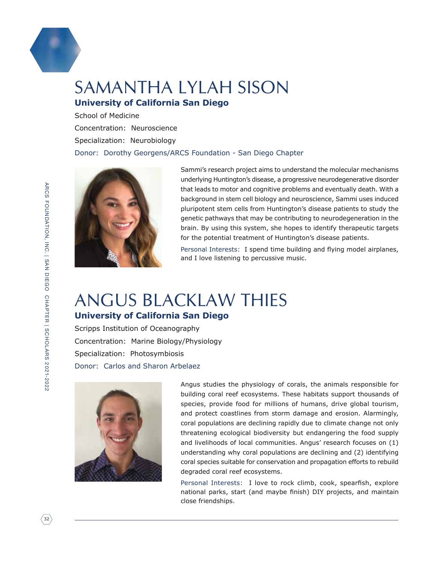

### sAmAnthA lYlAh sison **University of California San Diego**

School of Medicine

Concentration: Neuroscience Specialization: Neurobiology Donor: Dorothy Georgens/ARCS Foundation - San Diego Chapter



Sammi's research project aims to understand the molecular mechanisms underlying Huntington's disease, a progressive neurodegenerative disorder that leads to motor and cognitive problems and eventually death. With a background in stem cell biology and neuroscience, Sammi uses induced pluripotent stem cells from Huntington's disease patients to study the genetic pathways that may be contributing to neurodegeneration in the brain. By using this system, she hopes to identify therapeutic targets for the potential treatment of Huntington's disease patients.

Personal Interests: I spend time building and fying model airplanes, and I love listening to percussive music.

#### AngUs BlAcKlAw thies **University of California San Diego**

Scripps Institution of Oceanography Concentration: Marine Biology/Physiology Specialization: Photosymbiosis Donor: Carlos and Sharon Arbelaez



Angus studies the physiology of corals, the animals responsible for building coral reef ecosystems. These habitats support thousands of species, provide food for millions of humans, drive global tourism, and protect coastlines from storm damage and erosion. Alarmingly, coral populations are declining rapidly due to climate change not only threatening ecological biodiversity but endangering the food supply and livelihoods of local communities. Angus' research focuses on (1) understanding why coral populations are declining and (2) identifying coral species suitable for conservation and propagation efforts to rebuild degraded coral reef ecosystems.

Personal Interests: I love to rock climb, cook, spearfish, explore national parks, start (and maybe fnish) DIY projects, and maintain close friendships.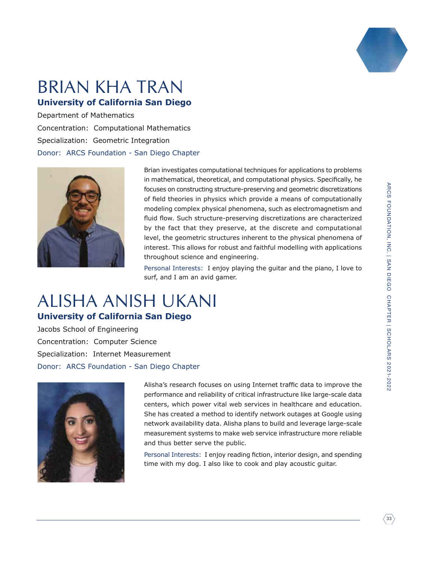

#### BRiAn KhA tRAn **University of California San Diego**

Department of Mathematics Concentration: Computational Mathematics Specialization: Geometric Integration Donor: ARCS Foundation - San Diego Chapter



Brian investigates computational techniques for applications to problems in mathematical, theoretical, and computational physics. Specifcally, he focuses on constructing structure-preserving and geometric discretizations of feld theories in physics which provide a means of computationally modeling complex physical phenomena, such as electromagnetism and fluid flow. Such structure-preserving discretizations are characterized by the fact that they preserve, at the discrete and computational level, the geometric structures inherent to the physical phenomena of interest. This allows for robust and faithful modelling with applications throughout science and engineering.

Personal Interests: I enjoy playing the guitar and the piano, I love to surf, and I am an avid gamer.

#### AlishA Anish UKAni **University of California San Diego**

Jacobs School of Engineering Concentration: Computer Science Specialization: Internet Measurement Donor: ARCS Foundation - San Diego Chapter



Alisha's research focuses on using Internet traffic data to improve the performance and reliability of critical infrastructure like large-scale data centers, which power vital web services in healthcare and education. She has created a method to identify network outages at Google using network availability data. Alisha plans to build and leverage large-scale measurement systems to make web service infrastructure more reliable and thus better serve the public.

Personal Interests: I enjoy reading fiction, interior design, and spending time with my dog. I also like to cook and play acoustic guitar.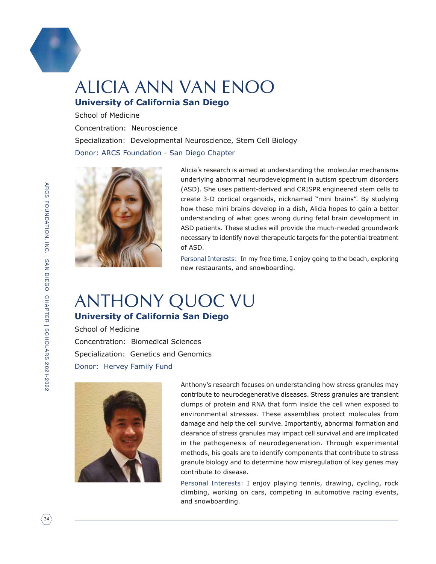

### AliciA Ann vAn enoo **University of California San Diego**

School of Medicine

Concentration: Neuroscience

Specialization: Developmental neuroscience, Stem Cell Biology Donor: ARCS Foundation - San Diego Chapter



Alicia's research is aimed at understanding the molecular mechanisms underlying abnormal neurodevelopment in autism spectrum disorders (ASD). She uses patient-derived and CRISPR engineered stem cells to create 3-D cortical organoids, nicknamed "mini brains". By studying how these mini brains develop in a dish, Alicia hopes to gain a better understanding of what goes wrong during fetal brain development in ASD patients. These studies will provide the much-needed groundwork necessary to identify novel therapeutic targets for the potential treatment of ASD.

Personal Interests: In my free time, I enjoy going to the beach, exploring new restaurants, and snowboarding.

#### AnthonY QUoc vU **University of California San Diego**

School of Medicine Concentration: Biomedical Sciences Specialization: Genetics and Genomics Donor: Hervey Family Fund



Anthony's research focuses on understanding how stress granules may contribute to neurodegenerative diseases. Stress granules are transient clumps of protein and RnA that form inside the cell when exposed to environmental stresses. These assemblies protect molecules from damage and help the cell survive. Importantly, abnormal formation and clearance of stress granules may impact cell survival and are implicated in the pathogenesis of neurodegeneration. Through experimental methods, his goals are to identify components that contribute to stress granule biology and to determine how misregulation of key genes may contribute to disease.

Personal Interests: I enjoy playing tennis, drawing, cycling, rock climbing, working on cars, competing in automotive racing events, and snowboarding.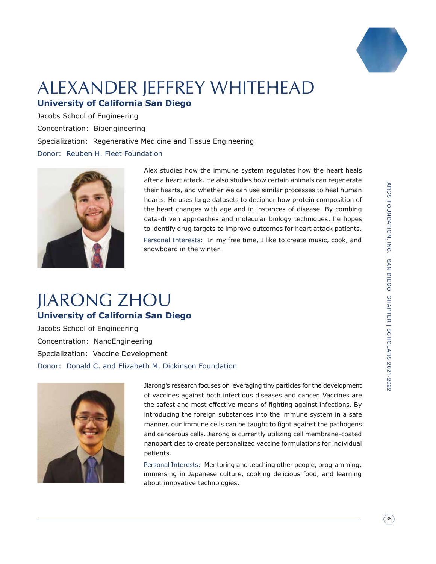

#### AleXAndeR JeFFReY whiteheAd **University of California San Diego**

Jacobs School of Engineering

Concentration: Bioengineering

Specialization: Regenerative Medicine and Tissue Engineering

Donor: Reuben H. Fleet Foundation



Alex studies how the immune system regulates how the heart heals after a heart attack. He also studies how certain animals can regenerate their hearts, and whether we can use similar processes to heal human hearts. He uses large datasets to decipher how protein composition of the heart changes with age and in instances of disease. By combing data-driven approaches and molecular biology techniques, he hopes to identify drug targets to improve outcomes for heart attack patients.

Personal Interests: In my free time, I like to create music, cook, and snowboard in the winter.

#### JiARong zhoU **University of California San Diego**

Jacobs School of Engineering Concentration: NanoEngineering Specialization: Vaccine Development Donor: Donald C. and Elizabeth M. Dickinson Foundation



Jiarong's research focuses on leveraging tiny particles for the development of vaccines against both infectious diseases and cancer. Vaccines are the safest and most effective means of fighting against infections. By introducing the foreign substances into the immune system in a safe manner, our immune cells can be taught to fight against the pathogens and cancerous cells. Jiarong is currently utilizing cell membrane-coated nanoparticles to create personalized vaccine formulations for individual patients.

Personal Interests: Mentoring and teaching other people, programming, immersing in Japanese culture, cooking delicious food, and learning about innovative technologies.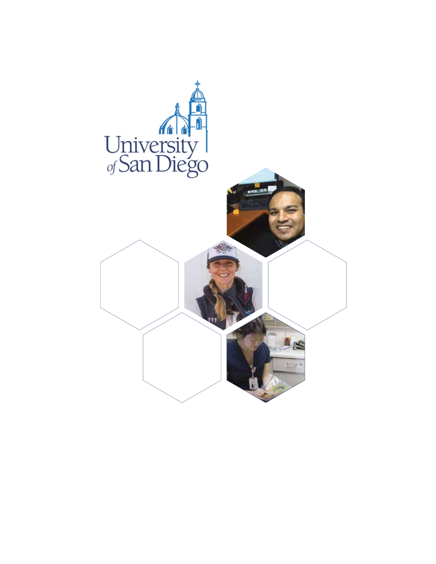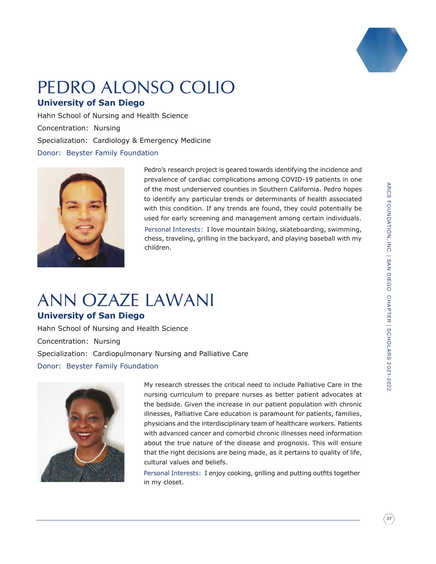

#### PedRo Alonso colio **University of San Diego**

Hahn School of nursing and Health Science Concentration: Nursing Specialization: Cardiology & Emergency Medicine Donor: Beyster Family Foundation



Pedro's research project is geared towards identifying the incidence and prevalence of cardiac complications among COVID-19 patients in one of the most underserved counties in Southern California. Pedro hopes to identify any particular trends or determinants of health associated with this condition. If any trends are found, they could potentially be used for early screening and management among certain individuals. Personal Interests: I love mountain biking, skateboarding, swimming, chess, traveling, grilling in the backyard, and playing baseball with my children.

#### Ann ozAze lAwAni **University of San Diego**

Hahn School of nursing and Health Science Concentration: Nursing Specialization: Cardiopulmonary nursing and Palliative Care Donor: Beyster Family Foundation



My research stresses the critical need to include Palliative Care in the nursing curriculum to prepare nurses as better patient advocates at the bedside. Given the increase in our patient population with chronic illnesses, Palliative Care education is paramount for patients, families, physicians and the interdisciplinary team of healthcare workers. Patients with advanced cancer and comorbid chronic illnesses need information about the true nature of the disease and prognosis. This will ensure that the right decisions are being made, as it pertains to quality of life, cultural values and beliefs.

Personal Interests: I enjoy cooking, grilling and putting outfits together in my closet.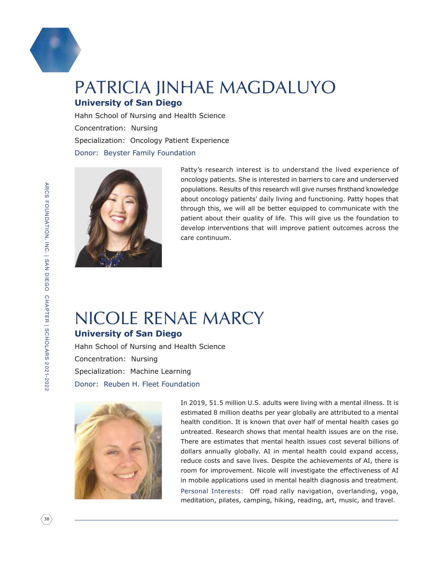

#### PATRICIA JINHAE MAGDALUYO **University of San Diego**

Hahn School of nursing and Health Science Concentration: Nursing Specialization: Oncology Patient Experience Donor: Beyster Family Foundation



Patty's research interest is to understand the lived experience of oncology patients. She is interested in barriers to care and underserved populations. Results of this research will give nurses frsthand knowledge about oncology patients' daily living and functioning. Patty hopes that through this, we will all be better equipped to communicate with the patient about their quality of life. This will give us the foundation to develop interventions that will improve patient outcomes across the care continuum.

### nicole RenAe mARcY **University of San Diego**

Hahn School of nursing and Health Science Concentration: Nursing Specialization: Machine Learning Donor: Reuben H. Fleet Foundation



In 2019, 51.5 million U.S. adults were living with a mental illness. It is estimated 8 million deaths per year globally are attributed to a mental health condition. It is known that over half of mental health cases go untreated. Research shows that mental health issues are on the rise. There are estimates that mental health issues cost several billions of dollars annually globally. AI in mental health could expand access, reduce costs and save lives. Despite the achievements of AI, there is room for improvement. Nicole will investigate the effectiveness of AI in mobile applications used in mental health diagnosis and treatment. Personal Interests: Off road rally navigation, overlanding, yoga, meditation, pilates, camping, hiking, reading, art, music, and travel.